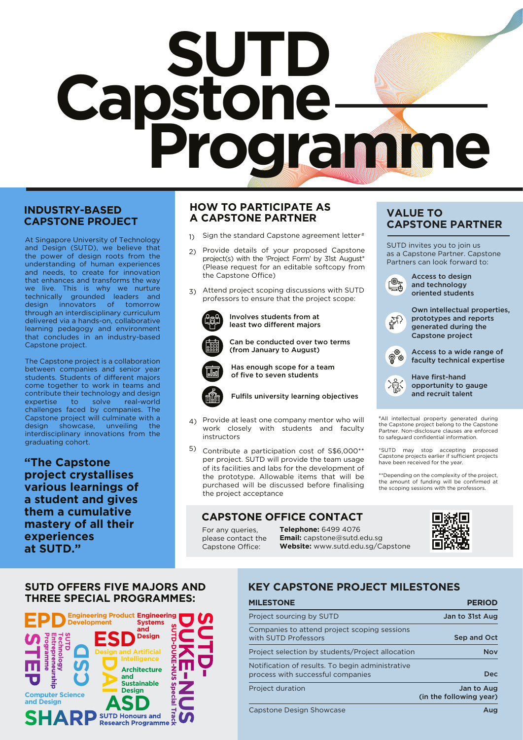# **Capstone SUTD Programme**

### **INDUSTRY-BASED CAPSTONE PROJECT**

At Singapore University of Technology and Design (SUTD), we believe that the power of design roots from the understanding of human experiences and needs, to create for innovation that enhances and transforms the way we live. This is why we nurture technically grounded leaders and design innovators of tomorrow through an interdisciplinary curriculum delivered via a hands-on, collaborative learning pedagogy and environment that concludes in an industry-based Capstone project.

The Capstone project is a collaboration between companies and senior year students. Students of different majors come together to work in teams and contribute their technology and design expertise to solve real-world challenges faced by companies. The Capstone project will culminate with a design showcase, unveiling the interdisciplinary innovations from the graduating cohort.

**"The Capstone project crystallises various learnings of a student and gives them a cumulative mastery of all their experiences at SUTD."**

### **HOW TO PARTICIPATE AS A CAPSTONE PARTNER**

- 1) Sign the standard Capstone agreement letter #
- 2) Provide details of your proposed Capstone project(s) with the 'Project Form' by 31st August\* (Please request for an editable softcopy from the Capstone Office)
- 3) Attend project scoping discussions with SUTD professors to ensure that the project scope:



Involves students from at least two different majors



Can be conducted over two terms (from January to August)

Has enough scope for a team of five to seven students



### Fulfils university learning objectives

- 4) Provide at least one company mentor who will work closely with students and faculty instructors
- 5) Contribute a participation cost of S\$6,000\*\* per project. SUTD will provide the team usage of its facilities and labs for the development of the prototype. Allowable items that will be purchased will be discussed before finalising the project acceptance

### **CAPSTONE OFFICE CONTACT**

For any queries, please contact the Capstone Office:

**Telephone:** 6499 4076 **Email:** capstone@sutd.edu.sg **Website:** www.sutd.edu.sg/Capstone

### **VALUE TO CAPSTONE PARTNER**

SUTD invites you to join us as a Capstone Partner. Capstone Partners can look forward to:



Access to design and technology oriented students



Own intellectual properties, prototypes and reports generated during the Capstone project



Access to a wide range of faculty technical expertise



Have first-hand opportunity to gauge and recruit talent

#All intellectual property generated during the Capstone project belong to the Capstone Partner. Non-disclosure clauses are enforced to safeguard confidential information.

\*SUTD may stop accepting proposed Capstone projects earlier if sucient projects have been received for the year.

\*\*Depending on the complexity of the project, the amount of funding will be confirmed at the scoping sessions with the professors.



### **SUTD OFFERS FIVE MAJORS AND THREE SPECIAL PROGRAMMES:**



### **KEY CAPSTONE PROJECT MILESTONES**

| <b>MILESTONE</b>                                                                      | <b>PERIOD</b>                         |
|---------------------------------------------------------------------------------------|---------------------------------------|
| Project sourcing by SUTD                                                              | Jan to 31st Aug                       |
| Companies to attend project scoping sessions<br>with SUTD Professors                  | Sep and Oct                           |
| Project selection by students/Project allocation                                      | <b>Nov</b>                            |
| Notification of results. To begin administrative<br>process with successful companies | <b>Dec</b>                            |
| Project duration                                                                      | Jan to Aug<br>(in the following year) |
| Canatana Dagian Chawango                                                              | $\mathbf{A}$                          |

Capstone Design Showcase August 2012 - August 2013 March 2014 March 2014 March 2014